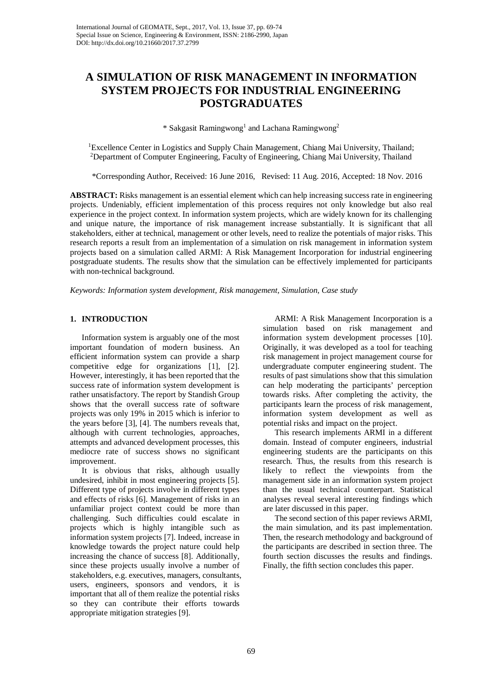# **A SIMULATION OF RISK MANAGEMENT IN INFORMATION SYSTEM PROJECTS FOR INDUSTRIAL ENGINEERING POSTGRADUATES**

\* Sakgasit Ramingwong<sup>1</sup> and Lachana Ramingwong<sup>2</sup>

<sup>1</sup>Excellence Center in Logistics and Supply Chain Management, Chiang Mai University, Thailand;<br><sup>2</sup>Department of Computer Engineering, Faculty of Engineering, Chiang Mai University, Thailand <sup>2</sup>Department of Computer Engineering, Faculty of Engineering, Chiang Mai University, Thailand

\*Corresponding Author, Received: 16 June 2016, Revised: 11 Aug. 2016, Accepted: 18 Nov. 2016

**ABSTRACT:** Risks management is an essential element which can help increasing success rate in engineering projects. Undeniably, efficient implementation of this process requires not only knowledge but also real experience in the project context. In information system projects, which are widely known for its challenging and unique nature, the importance of risk management increase substantially. It is significant that all stakeholders, either at technical, management or other levels, need to realize the potentials of major risks. This research reports a result from an implementation of a simulation on risk management in information system projects based on a simulation called ARMI: A Risk Management Incorporation for industrial engineering postgraduate students. The results show that the simulation can be effectively implemented for participants with non-technical background.

*Keywords: Information system development, Risk management, Simulation, Case study*

# **1. INTRODUCTION**

Information system is arguably one of the most important foundation of modern business. An efficient information system can provide a sharp competitive edge for organizations [1], [2]. However, interestingly, it has been reported that the success rate of information system development is rather unsatisfactory. The report by Standish Group shows that the overall success rate of software projects was only 19% in 2015 which is inferior to the years before [3], [4]. The numbers reveals that, although with current technologies, approaches, attempts and advanced development processes, this mediocre rate of success shows no significant improvement.

It is obvious that risks, although usually undesired, inhibit in most engineering projects [5]. Different type of projects involve in different types and effects of risks [6]. Management of risks in an unfamiliar project context could be more than challenging. Such difficulties could escalate in projects which is highly intangible such as information system projects [7]. Indeed, increase in knowledge towards the project nature could help increasing the chance of success [8]. Additionally, since these projects usually involve a number of stakeholders, e.g. executives, managers, consultants, users, engineers, sponsors and vendors, it is important that all of them realize the potential risks so they can contribute their efforts towards appropriate mitigation strategies [9].

ARMI: A Risk Management Incorporation is a simulation based on risk management and information system development processes [10]. Originally, it was developed as a tool for teaching risk management in project management course for undergraduate computer engineering student. The results of past simulations show that this simulation can help moderating the participants' perception towards risks. After completing the activity, the participants learn the process of risk management, information system development as well as potential risks and impact on the project.

This research implements ARMI in a different domain. Instead of computer engineers, industrial engineering students are the participants on this research. Thus, the results from this research is likely to reflect the viewpoints from the management side in an information system project than the usual technical counterpart. Statistical analyses reveal several interesting findings which are later discussed in this paper.

The second section of this paper reviews ARMI, the main simulation, and its past implementation. Then, the research methodology and background of the participants are described in section three. The fourth section discusses the results and findings. Finally, the fifth section concludes this paper.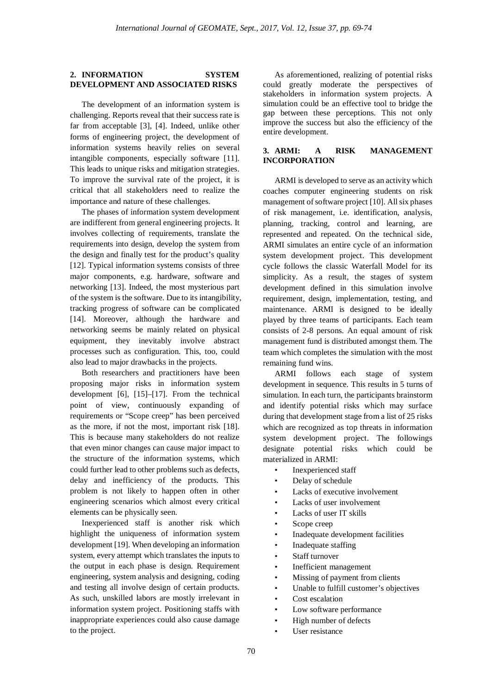### **2. INFORMATION SYSTEM DEVELOPMENT AND ASSOCIATED RISKS**

The development of an information system is challenging. Reports reveal that their success rate is far from acceptable [3], [4]. Indeed, unlike other forms of engineering project, the development of information systems heavily relies on several intangible components, especially software [11]. This leads to unique risks and mitigation strategies. To improve the survival rate of the project, it is critical that all stakeholders need to realize the importance and nature of these challenges.

The phases of information system development are indifferent from general engineering projects. It involves collecting of requirements, translate the requirements into design, develop the system from the design and finally test for the product's quality [12]. Typical information systems consists of three major components, e.g. hardware, software and networking [13]. Indeed, the most mysterious part of the system is the software. Due to its intangibility, tracking progress of software can be complicated [14]. Moreover, although the hardware and networking seems be mainly related on physical equipment, they inevitably involve abstract processes such as configuration. This, too, could also lead to major drawbacks in the projects.

Both researchers and practitioners have been proposing major risks in information system development [6], [15]–[17]. From the technical point of view, continuously expanding of requirements or "Scope creep" has been perceived as the more, if not the most, important risk [18]. This is because many stakeholders do not realize that even minor changes can cause major impact to the structure of the information systems, which could further lead to other problems such as defects, delay and inefficiency of the products. This problem is not likely to happen often in other engineering scenarios which almost every critical elements can be physically seen.

Inexperienced staff is another risk which highlight the uniqueness of information system development [19]. When developing an information system, every attempt which translates the inputs to the output in each phase is design. Requirement engineering, system analysis and designing, coding and testing all involve design of certain products. As such, unskilled labors are mostly irrelevant in information system project. Positioning staffs with inappropriate experiences could also cause damage to the project.

As aforementioned, realizing of potential risks could greatly moderate the perspectives of stakeholders in information system projects. A simulation could be an effective tool to bridge the gap between these perceptions. This not only improve the success but also the efficiency of the entire development.

# **3. ARMI: A RISK MANAGEMENT INCORPORATION**

ARMI is developed to serve as an activity which coaches computer engineering students on risk management of software project [10]. All six phases of risk management, i.e. identification, analysis, planning, tracking, control and learning, are represented and repeated. On the technical side, ARMI simulates an entire cycle of an information system development project. This development cycle follows the classic Waterfall Model for its simplicity. As a result, the stages of system development defined in this simulation involve requirement, design, implementation, testing, and maintenance. ARMI is designed to be ideally played by three teams of participants. Each team consists of 2-8 persons. An equal amount of risk management fund is distributed amongst them. The team which completes the simulation with the most remaining fund wins.

ARMI follows each stage of system development in sequence. This results in 5 turns of simulation. In each turn, the participants brainstorm and identify potential risks which may surface during that development stage from a list of 25 risks which are recognized as top threats in information system development project. The followings designate potential risks which could be materialized in ARMI:

- Inexperienced staff
- Delay of schedule
- Lacks of executive involvement
- Lacks of user involvement
- Lacks of user IT skills
- Scope creep
- Inadequate development facilities
- Inadequate staffing
- Staff turnover
- Inefficient management
- Missing of payment from clients
- Unable to fulfill customer's objectives
- Cost escalation
- Low software performance
- High number of defects
- User resistance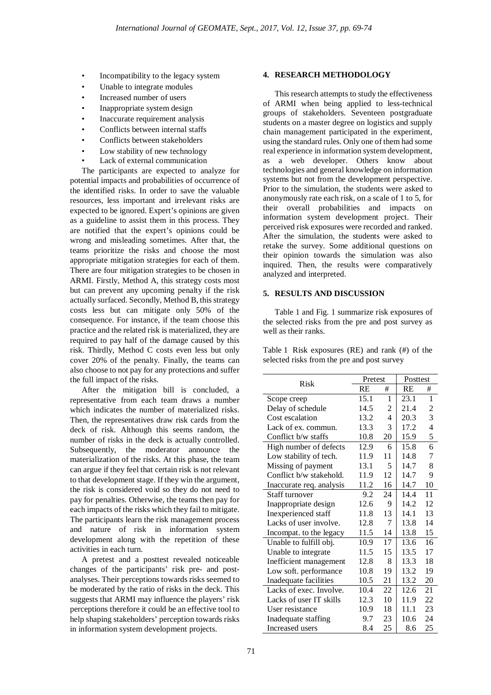- Incompatibility to the legacy system
- Unable to integrate modules
- Increased number of users
- Inappropriate system design
- Inaccurate requirement analysis
- Conflicts between internal staffs
- Conflicts between stakeholders
- Low stability of new technology
- Lack of external communication

The participants are expected to analyze for potential impacts and probabilities of occurrence of the identified risks. In order to save the valuable resources, less important and irrelevant risks are expected to be ignored. Expert's opinions are given as a guideline to assist them in this process. They are notified that the expert's opinions could be wrong and misleading sometimes. After that, the teams prioritize the risks and choose the most appropriate mitigation strategies for each of them. There are four mitigation strategies to be chosen in ARMI. Firstly, Method A, this strategy costs most but can prevent any upcoming penalty if the risk actually surfaced. Secondly, Method B, this strategy costs less but can mitigate only 50% of the consequence. For instance, if the team choose this practice and the related risk is materialized, they are required to pay half of the damage caused by this risk. Thirdly, Method C costs even less but only cover 20% of the penalty. Finally, the teams can also choose to not pay for any protections and suffer the full impact of the risks.

After the mitigation bill is concluded, a representative from each team draws a number which indicates the number of materialized risks. Then, the representatives draw risk cards from the deck of risk. Although this seems random, the number of risks in the deck is actually controlled. Subsequently, the moderator announce the materialization of the risks. At this phase, the team can argue if they feel that certain risk is not relevant to that development stage. If they win the argument, the risk is considered void so they do not need to pay for penalties. Otherwise, the teams then pay for each impacts of the risks which they fail to mitigate. The participants learn the risk management process and nature of risk in information system development along with the repetition of these activities in each turn.

A pretest and a posttest revealed noticeable changes of the participants' risk pre- and postanalyses. Their perceptions towards risks seemed to be moderated by the ratio of risks in the deck. This suggests that ARMI may influence the players' risk perceptions therefore it could be an effective tool to help shaping stakeholders' perception towards risks in information system development projects.

#### **4. RESEARCH METHODOLOGY**

This research attempts to study the effectiveness of ARMI when being applied to less-technical groups of stakeholders. Seventeen postgraduate students on a master degree on logistics and supply chain management participated in the experiment, using the standard rules. Only one of them had some real experience in information system development, as a web developer. Others know about technologies and general knowledge on information systems but not from the development perspective. Prior to the simulation, the students were asked to anonymously rate each risk, on a scale of 1 to 5, for their overall probabilities and impacts on information system development project. Their perceived risk exposures were recorded and ranked. After the simulation, the students were asked to retake the survey. Some additional questions on their opinion towards the simulation was also inquired. Then, the results were comparatively analyzed and interpreted.

## **5. RESULTS AND DISCUSSION**

Table 1 and Fig. 1 summarize risk exposures of the selected risks from the pre and post survey as well as their ranks.

Table 1 Risk exposures (RE) and rank (#) of the selected risks from the pre and post survey

| Risk                     | Pretest   |    | Posttest  |    |
|--------------------------|-----------|----|-----------|----|
|                          | <b>RE</b> | #  | <b>RE</b> | #  |
| Scope creep              | 15.1      | 1  | 23.1      | 1  |
| Delay of schedule        | 14.5      | 2  | 21.4      | 2  |
| Cost escalation          | 13.2      | 4  | 20.3      | 3  |
| Lack of ex. commun.      | 13.3      | 3  | 17.2      | 4  |
| Conflict b/w staffs      | 10.8      | 20 | 15.9      | 5  |
| High number of defects   | 12.9      | 6  | 15.8      | 6  |
| Low stability of tech.   | 11.9      | 11 | 14.8      | 7  |
| Missing of payment       | 13.1      | 5  | 14.7      | 8  |
| Conflict b/w stakehold.  | 11.9      | 12 | 14.7      | 9  |
| Inaccurate req. analysis | 11.2      | 16 | 14.7      | 10 |
| <b>Staff turnover</b>    | 9.2       | 24 | 14.4      | 11 |
| Inappropriate design     | 12.6      | 9  | 14.2      | 12 |
| Inexperienced staff      | 11.8      | 13 | 14.1      | 13 |
| Lacks of user involve.   | 12.8      | 7  | 13.8      | 14 |
| Incompat. to the legacy  | 11.5      | 14 | 13.8      | 15 |
| Unable to fulfill obj.   | 10.9      | 17 | 13.6      | 16 |
| Unable to integrate      | 11.5      | 15 | 13.5      | 17 |
| Inefficient management   | 12.8      | 8  | 13.3      | 18 |
| Low soft. performance    | 10.8      | 19 | 13.2      | 19 |
| Inadequate facilities    | 10.5      | 21 | 13.2      | 20 |
| Lacks of exec. Involve.  | 10.4      | 22 | 12.6      | 21 |
| Lacks of user IT skills  | 12.3      |    | 11.9      | 22 |
| User resistance          | 10.9      | 18 | 11.1      | 23 |
| Inadequate staffing      | 9.7       | 23 | 10.6      | 24 |
| Increased users          | 8.4       | 25 | 8.6       | 25 |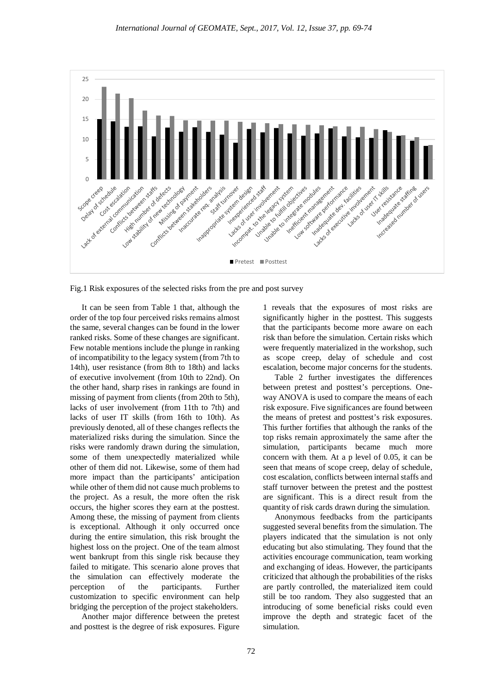

Fig.1 Risk exposures of the selected risks from the pre and post survey

It can be seen from Table 1 that, although the order of the top four perceived risks remains almost the same, several changes can be found in the lower ranked risks. Some of these changes are significant. Few notable mentions include the plunge in ranking of incompatibility to the legacy system (from 7th to 14th), user resistance (from 8th to 18th) and lacks of executive involvement (from 10th to 22nd). On the other hand, sharp rises in rankings are found in missing of payment from clients (from 20th to 5th), lacks of user involvement (from 11th to 7th) and lacks of user IT skills (from 16th to 10th). As previously denoted, all of these changes reflects the materialized risks during the simulation. Since the risks were randomly drawn during the simulation, some of them unexpectedly materialized while other of them did not. Likewise, some of them had more impact than the participants' anticipation while other of them did not cause much problems to the project. As a result, the more often the risk occurs, the higher scores they earn at the posttest. Among these, the missing of payment from clients is exceptional. Although it only occurred once during the entire simulation, this risk brought the highest loss on the project. One of the team almost went bankrupt from this single risk because they failed to mitigate. This scenario alone proves that the simulation can effectively moderate the perception of the participants. Further customization to specific environment can help bridging the perception of the project stakeholders.

Another major difference between the pretest and posttest is the degree of risk exposures. Figure

1 reveals that the exposures of most risks are significantly higher in the posttest. This suggests that the participants become more aware on each risk than before the simulation. Certain risks which were frequently materialized in the workshop, such as scope creep, delay of schedule and cost escalation, become major concerns for the students.

Table 2 further investigates the differences between pretest and posttest's perceptions. Oneway ANOVA is used to compare the means of each risk exposure. Five significances are found between the means of pretest and posttest's risk exposures. This further fortifies that although the ranks of the top risks remain approximately the same after the simulation, participants became much more concern with them. At a p level of 0.05, it can be seen that means of scope creep, delay of schedule, cost escalation, conflicts between internal staffs and staff turnover between the pretest and the posttest are significant. This is a direct result from the quantity of risk cards drawn during the simulation.

Anonymous feedbacks from the participants suggested several benefits from the simulation. The players indicated that the simulation is not only educating but also stimulating. They found that the activities encourage communication, team working and exchanging of ideas. However, the participants criticized that although the probabilities of the risks are partly controlled, the materialized item could still be too random. They also suggested that an introducing of some beneficial risks could even improve the depth and strategic facet of the simulation.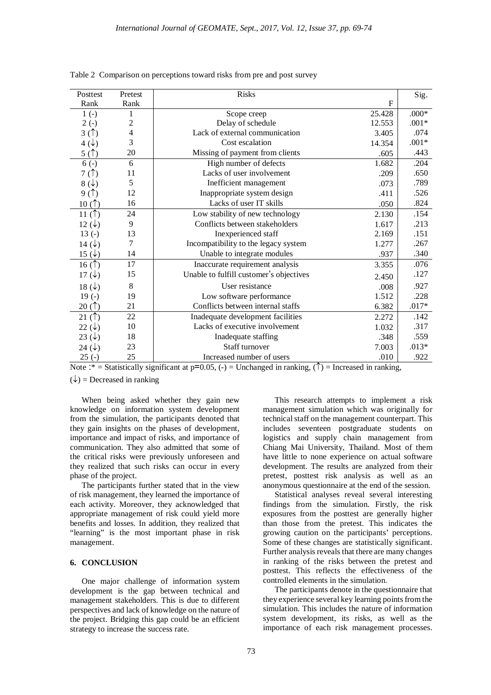| Posttest          | Pretest        | <b>Risks</b>                            |             | Sig.    |
|-------------------|----------------|-----------------------------------------|-------------|---------|
| Rank              | Rank           |                                         | $\mathbf F$ |         |
| $1(-)$            |                | Scope creep                             | 25.428      | $.000*$ |
| $2(-)$            | $\overline{c}$ | Delay of schedule                       | 12.553      | $.001*$ |
| 3(1)              | 4              | Lack of external communication          | 3.405       | .074    |
| $4(\downarrow)$   | 3              | Cost escalation                         | 14.354      | $.001*$ |
| 5(1)              | 20             | Missing of payment from clients         | .605        | .443    |
| $6(-)$            | 6              | High number of defects                  | 1.682       | .204    |
| 7(1)              | 11             | Lacks of user involvement               | .209        | .650    |
| $8(\downarrow)$   | 5              | Inefficient management                  | .073        | .789    |
| 9(                | 12             | Inappropriate system design             | .411        | .526    |
| 10(1)             | 16             | Lacks of user IT skills                 | .050        | .824    |
| 11 $($ $\uparrow$ | 24             | Low stability of new technology         | 2.130       | .154    |
| 12 $(\downarrow)$ | 9              | Conflicts between stakeholders          | 1.617       | .213    |
| $13(-)$           | 13             | Inexperienced staff                     | 2.169       | .151    |
| 14 $(\downarrow)$ | 7              | Incompatibility to the legacy system    | 1.277       | .267    |
| 15 $(\downarrow)$ | 14             | Unable to integrate modules             | .937        | .340    |
| 16(1)             | 17             | Inaccurate requirement analysis         | 3.355       | .076    |
| 17 $(\downarrow)$ | 15             | Unable to fulfill customer's objectives | 2.450       | .127    |
| 18 $(\downarrow)$ | 8              | User resistance                         | .008        | .927    |
| $19(-)$           | 19             | Low software performance                | 1.512       | .228    |
| 20(1)             | 21             | Conflicts between internal staffs       | 6.382       | $.017*$ |
| 21 $($ $\uparrow$ | 22             | Inadequate development facilities       | 2.272       | .142    |
| 22 $(\downarrow)$ | 10             | Lacks of executive involvement          | 1.032       | .317    |
| 23 $(\downarrow)$ | 18             | Inadequate staffing                     | .348        | .559    |
| 24 $(\downarrow)$ | 23             | Staff turnover                          | 7.003       | $.013*$ |
| $25(-)$           | 25             | Increased number of users               | .010        | .922    |

Table 2 Comparison on perceptions toward risks from pre and post survey

Note :\* = Statistically significant at  $p=0.05$ , (-) = Unchanged in ranking, ( $\uparrow$ ) = Increased in ranking,

 $(\downarrow)$  = Decreased in ranking

When being asked whether they gain new knowledge on information system development from the simulation, the participants denoted that they gain insights on the phases of development, importance and impact of risks, and importance of communication. They also admitted that some of the critical risks were previously unforeseen and they realized that such risks can occur in every phase of the project.

The participants further stated that in the view of risk management, they learned the importance of each activity. Moreover, they acknowledged that appropriate management of risk could yield more benefits and losses. In addition, they realized that "learning" is the most important phase in risk management.

#### **6. CONCLUSION**

One major challenge of information system development is the gap between technical and management stakeholders. This is due to different perspectives and lack of knowledge on the nature of the project. Bridging this gap could be an efficient strategy to increase the success rate.

This research attempts to implement a risk management simulation which was originally for technical staff on the management counterpart. This includes seventeen postgraduate students on logistics and supply chain management from Chiang Mai University, Thailand. Most of them have little to none experience on actual software development. The results are analyzed from their pretest, posttest risk analysis as well as an anonymous questionnaire at the end of the session.

Statistical analyses reveal several interesting findings from the simulation. Firstly, the risk exposures from the posttest are generally higher than those from the pretest. This indicates the growing caution on the participants' perceptions. Some of these changes are statistically significant. Further analysis reveals that there are many changes in ranking of the risks between the pretest and posttest. This reflects the effectiveness of the controlled elements in the simulation.

The participants denote in the questionnaire that they experience several key learning points from the simulation. This includes the nature of information system development, its risks, as well as the importance of each risk management processes.